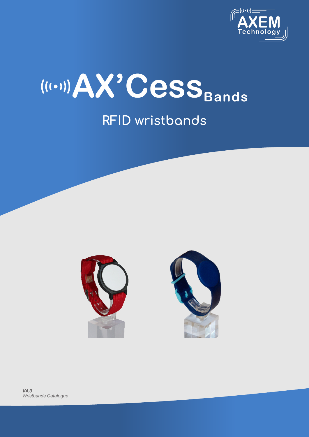



### **RFID wristbands**





*V4.0 Wristbands Catalogue*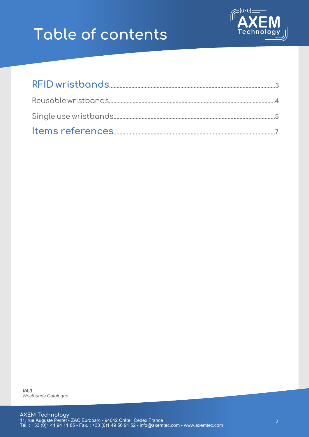### **Table of contents**

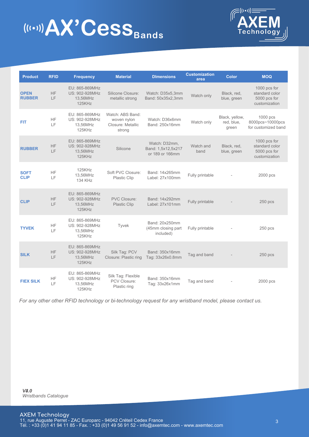# $($ ((·)) $AX$ 'Cess $_{\text{Bands}}$



| <b>Product</b>               | <b>RFID</b>     | <b>Frequency</b>                                              | <b>Material</b>                                                | <b>DImensions</b>                                      | <b>Customization</b><br>area | <b>Color</b>                          | <b>MOQ</b>                                                      |
|------------------------------|-----------------|---------------------------------------------------------------|----------------------------------------------------------------|--------------------------------------------------------|------------------------------|---------------------------------------|-----------------------------------------------------------------|
| <b>OPEN</b><br><b>RUBBER</b> | HF<br>LF        | EU: 865-869MHz<br>US: 902-928MHz<br>13,56MHz<br><b>125KHz</b> | Silicone Closure:<br>metallic strong                           | Watch: D35x5,3mm<br>Band: 50x35x2,3mm                  | Watch only                   | Black, red,<br>blue, green            | 1000 pcs for<br>standard color<br>5000 pcs for<br>customization |
| <b>FIT</b>                   | <b>HF</b><br>LF | EU: 865-869MHz<br>US: 902-928MHz<br>13,56MHz<br>125KHz        | Watch: ABS Band:<br>woven nylon<br>Closure: Metallic<br>strong | Watch: D36x6mm<br>Band: 250x16mm                       | Watch only                   | Black, yellow,<br>red, blue,<br>green | 1000 pcs<br>8000pcs~10000pcs<br>for customized band             |
| <b>RUBBER</b>                | <b>HF</b><br>LF | EU: 865-869MHz<br>US: 902-928MHz<br>13,56MHz<br><b>125KHz</b> | Silicone                                                       | Watch: D32mm,<br>Band: 1,5x12,5x217<br>or 189 or 166mm | Watch and<br>band            | Black, red,<br>blue, green            | 1000 pcs for<br>standard color<br>5000 pcs for<br>customization |
| <b>SOFT</b><br><b>CLIP</b>   | HF<br>LF        | 125KHz<br>13,56MHz<br>134 KHz                                 | Soft PVC Closure:<br>Plastic Clip                              | Band: 14x265mm<br>Label: 27x100mm                      | Fully printable              |                                       | 2000 pcs                                                        |
| <b>CLIP</b>                  | <b>HF</b><br>LF | EU: 865-869MHz<br>US: 902-928MHz<br>13,56MHz<br>125KHz        | <b>PVC Closure:</b><br><b>Plastic Clip</b>                     | Band: 14x292mm<br>Label: 27x101mm                      | Fully printable              |                                       | $250$ pcs                                                       |
| <b>TYVEK</b>                 | HF<br>LF        | EU: 865-869MHz<br>US: 902-928MHz<br>13,56MHz<br>125KHz        | Tyvek                                                          | Band: 20x250mm<br>(45mm closing part<br>included)      | Fully printable              |                                       | $250$ pcs                                                       |
| <b>SILK</b>                  | <b>HF</b><br>LF | EU: 865-869MHz<br>US: 902-928MHz<br>13,56MHz<br>125KHz        | Silk Tag: PCV<br>Closure: Plastic ring                         | Band: 350x16mm<br>Tag: 33x26x0.8mm                     | Tag and band                 |                                       | $250$ pcs                                                       |
| <b>FIEX SILK</b>             | HF<br>LF        | EU: 865-869MHz<br>US: 902-928MHz<br>13,56MHz<br>125KHz        | Silk Tag: Flexible<br><b>PCV Closure:</b><br>Plastic ring      | Band: 350x16mm<br>Tag: 33x26x1mm                       | Tag and band                 |                                       | 2000 pcs                                                        |

*For any other other RFID technology or bi-technology request for any wristband model, please contact us.*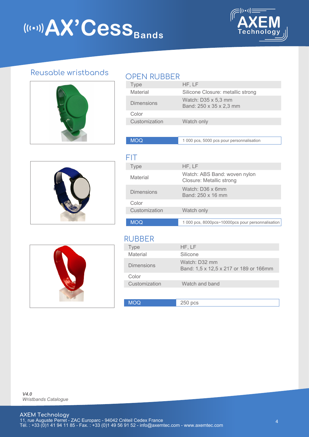# **UHRAX' CeSS** Bands



#### Reusable wristbands



#### OPEN RUBBER

| <b>Type</b>       | HF, LF                                         |
|-------------------|------------------------------------------------|
| Material          | Silicone Closure: metallic strong              |
| <b>Dimensions</b> | Watch: D35 x 5,3 mm<br>Band: 250 x 35 x 2,3 mm |
| Color             |                                                |
| Customization     | Watch only                                     |
|                   |                                                |

MOQ 1 000 pcs, 5000 pcs pour personnalisation



| FIT               |                                                          |
|-------------------|----------------------------------------------------------|
| <b>Type</b>       | HF, LF                                                   |
| Material          | Watch: ABS Band: woven nylon<br>Closure: Metallic strong |
| <b>Dimensions</b> | Watch: D36 x 6mm<br>Band: 250 x 16 mm                    |
| Color             |                                                          |
| Customization     | Watch only                                               |
|                   |                                                          |
| <b>MOQ</b>        | 1 000 pcs, 8000pcs~10000pcs pour personnalisation        |

## RUBBER

| ype               | HF, LF                                                  |
|-------------------|---------------------------------------------------------|
| Material          | Silicone                                                |
| <b>Dimensions</b> | Watch: D32 mm<br>Band: 1,5 x 12,5 x 217 or 189 or 166mm |
| Color             |                                                         |
| Customization     | Watch and band                                          |
|                   |                                                         |
| MOQ               | $250$ pcs                                               |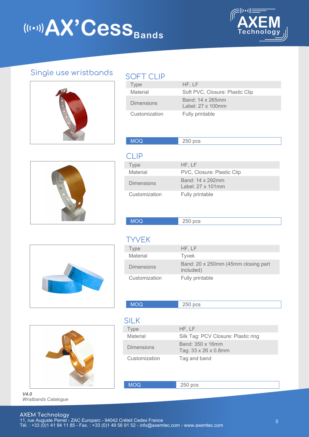# (((\*)) AX' Cess<sub>Bands</sub>



#### Single use wristbands



#### SOFT CLIP

MOQ 250 pcs

MOQ 250 pcs

Type HF, LF Material Tyvek

Customization Fully printable

TYVEK

MOQ 250 pcs

Customization Tag and band

| IUF I ULIP        |                                       |
|-------------------|---------------------------------------|
| <b>Type</b>       | HF, LF                                |
| Material          | Soft PVC, Closure: Plastic Clip       |
| <b>Dimensions</b> | Band: 14 x 265mm<br>Label: 27 x 100mm |
| Customization     | Fully printable                       |

| $Cl$ IP           |                                       |
|-------------------|---------------------------------------|
| Type              | HF, LF                                |
| Material          | PVC, Closure: Plastic Clip            |
| <b>Dimensions</b> | Band: 14 x 292mm<br>Label: 27 x 101mm |
| Customization     | Fully printable                       |





| <b>MOQ</b>        | $250$ pcs                                |
|-------------------|------------------------------------------|
|                   |                                          |
| <b>SILK</b>       |                                          |
| <b>Type</b>       | HF, LF                                   |
| Material          | Silk Tag: PCV Closure: Plastic ring      |
| <b>Dimensions</b> | Band: 350 x 16mm<br>Tag: 33 x 26 x 0.8mm |

Dimensions Band: 20 x 250mm (45mm closing part included)

#### *V4.0 Wristbands Catalogue*

#### **AXEM Technology** 11, rue Auguste Perret - ZAC Europarc - 94042 Créteil Cedex France<br>Tél. : +33 (0)1 41 94 11 85 - Fax. : +33 (0)1 49 56 91 52 - info@axemtec.com - www.axemtec.com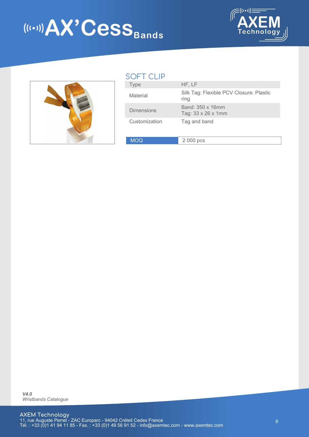# **UHRAX' Cess** Bands





#### SOFT CLIP

| Type              | HF, LF                                          |
|-------------------|-------------------------------------------------|
| Material          | Silk Tag: Flexible PCV Closure: Plastic<br>ring |
| <b>Dimensions</b> | Band: 350 x 16mm<br>Tag: 33 x 26 x 1mm          |
| Customization     | Tag and band                                    |
| <b>MOQ</b>        | 2 000 pcs                                       |